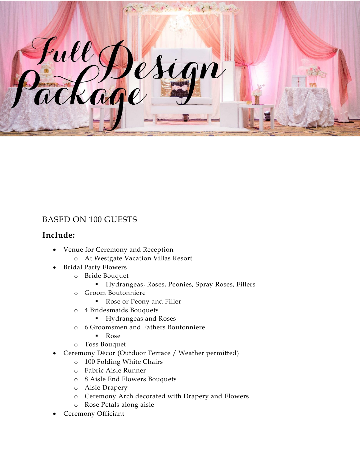

## BASED ON 100 GUESTS

## **Include:**

- Venue for Ceremony and Reception
	- o At Westgate Vacation Villas Resort
- Bridal Party Flowers
	- o Bride Bouquet
		- Hydrangeas, Roses, Peonies, Spray Roses, Fillers
	- o Groom Boutonniere
		- Rose or Peony and Filler
	- o 4 Bridesmaids Bouquets
		- Hydrangeas and Roses
	- o 6 Groomsmen and Fathers Boutonniere
		- **Rose**
	- o Toss Bouquet
- Ceremony Décor (Outdoor Terrace / Weather permitted)
	- o 100 Folding White Chairs
	- o Fabric Aisle Runner
	- o 8 Aisle End Flowers Bouquets
	- o Aisle Drapery
	- o Ceremony Arch decorated with Drapery and Flowers
	- o Rose Petals along aisle
- Ceremony Officiant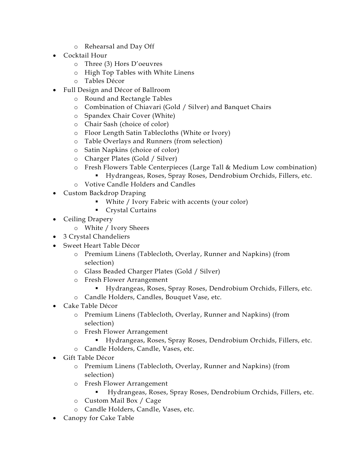- o Rehearsal and Day Off
- Cocktail Hour
	- o Three (3) Hors D'oeuvres
	- o High Top Tables with White Linens
	- o Tables Décor
- Full Design and Décor of Ballroom
	- o Round and Rectangle Tables
	- o Combination of Chiavari (Gold / Silver) and Banquet Chairs
	- o Spandex Chair Cover (White)
	- o Chair Sash (choice of color)
	- o Floor Length Satin Tablecloths (White or Ivory)
	- o Table Overlays and Runners (from selection)
	- o Satin Napkins (choice of color)
	- o Charger Plates (Gold / Silver)
	- o Fresh Flowers Table Centerpieces (Large Tall & Medium Low combination)
		- Hydrangeas, Roses, Spray Roses, Dendrobium Orchids, Fillers, etc.
	- o Votive Candle Holders and Candles
- Custom Backdrop Draping
	- White / Ivory Fabric with accents (your color)
	- **Crystal Curtains**
- Ceiling Drapery
	- o White / Ivory Sheers
- 3 Crystal Chandeliers
- Sweet Heart Table Décor
	- o Premium Linens (Tablecloth, Overlay, Runner and Napkins) (from selection)
	- o Glass Beaded Charger Plates (Gold / Silver)
	- o Fresh Flower Arrangement
		- Hydrangeas, Roses, Spray Roses, Dendrobium Orchids, Fillers, etc.
	- o Candle Holders, Candles, Bouquet Vase, etc.
- Cake Table Décor
	- o Premium Linens (Tablecloth, Overlay, Runner and Napkins) (from selection)
	- o Fresh Flower Arrangement
		- Hydrangeas, Roses, Spray Roses, Dendrobium Orchids, Fillers, etc.
	- o Candle Holders, Candle, Vases, etc.
- Gift Table Décor
	- o Premium Linens (Tablecloth, Overlay, Runner and Napkins) (from selection)
	- o Fresh Flower Arrangement
		- Hydrangeas, Roses, Spray Roses, Dendrobium Orchids, Fillers, etc.
	- o Custom Mail Box / Cage
	- o Candle Holders, Candle, Vases, etc.
- Canopy for Cake Table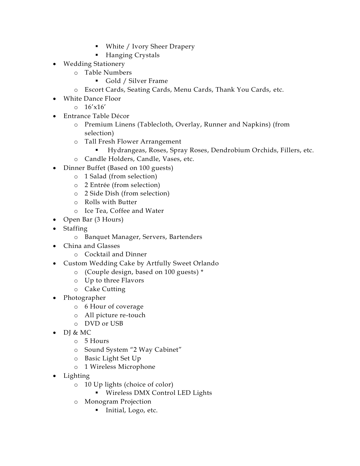- White / Ivory Sheer Drapery
- Hanging Crystals
- Wedding Stationery
	- o Table Numbers
		- Gold / Silver Frame
	- o Escort Cards, Seating Cards, Menu Cards, Thank You Cards, etc.
- White Dance Floor
	- o 16'x16'
- Entrance Table Décor
	- o Premium Linens (Tablecloth, Overlay, Runner and Napkins) (from selection)
	- o Tall Fresh Flower Arrangement
		- Hydrangeas, Roses, Spray Roses, Dendrobium Orchids, Fillers, etc.
	- o Candle Holders, Candle, Vases, etc.
- Dinner Buffet (Based on 100 guests)
	- o 1 Salad (from selection)
	- o 2 Entrée (from selection)
	- o 2 Side Dish (from selection)
	- o Rolls with Butter
	- o Ice Tea, Coffee and Water
- Open Bar (3 Hours)
- Staffing
	- o Banquet Manager, Servers, Bartenders
- China and Glasses
	- o Cocktail and Dinner
- Custom Wedding Cake by Artfully Sweet Orlando
	- o (Couple design, based on 100 guests) \*
	- o Up to three Flavors
	- o Cake Cutting
- Photographer
	- o 6 Hour of coverage
	- o All picture re-touch
	- o DVD or USB
- $\bullet$  DI & MC
	- o 5 Hours
	- o Sound System "2 Way Cabinet"
	- o Basic Light Set Up
	- o 1 Wireless Microphone
- Lighting
	- o 10 Up lights (choice of color)
		- **Wireless DMX Control LED Lights**
	- o Monogram Projection
		- **Initial, Logo, etc.**